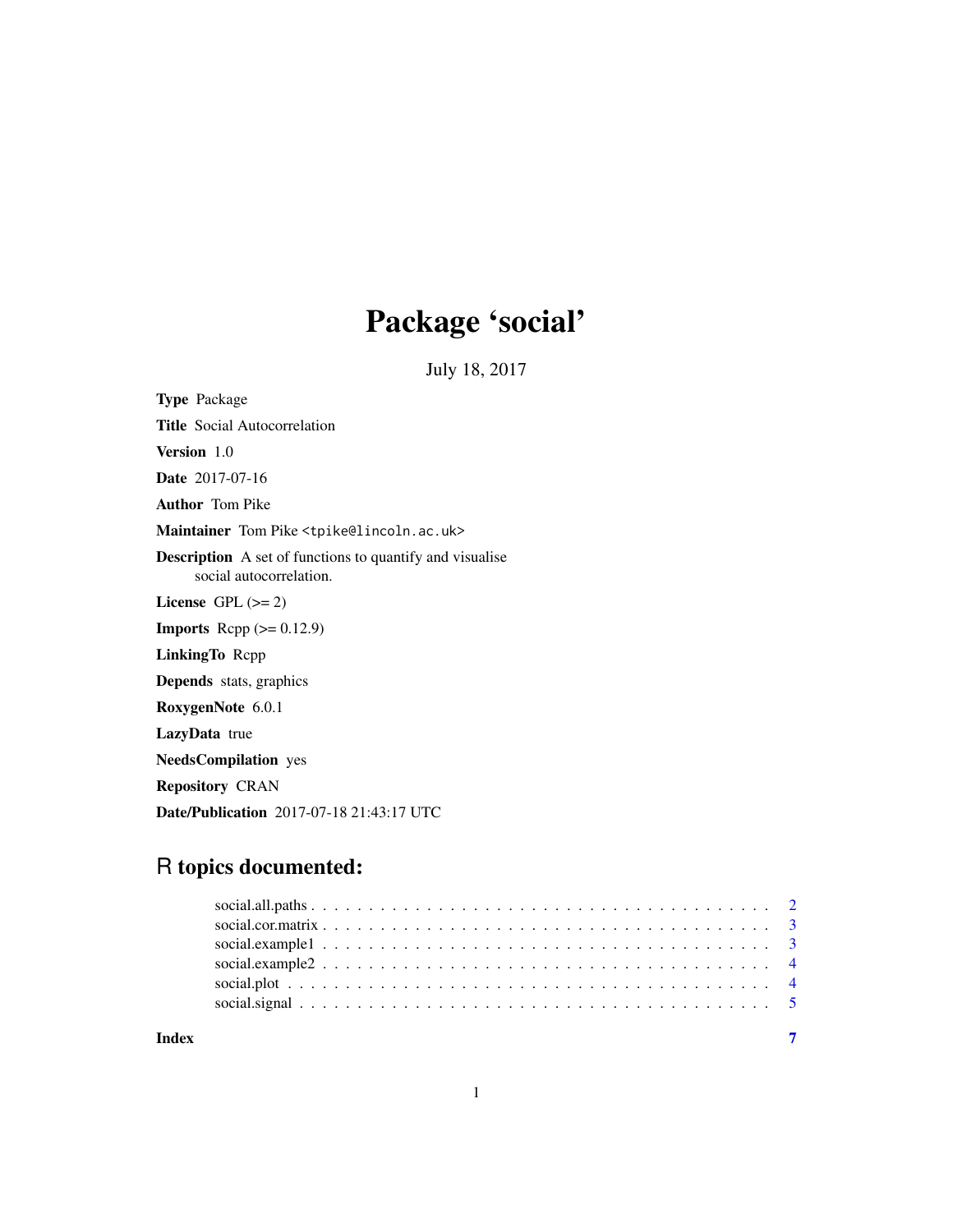## Package 'social'

July 18, 2017

<span id="page-0-0"></span>Type Package

Title Social Autocorrelation

Version 1.0

Date 2017-07-16

Author Tom Pike

Maintainer Tom Pike <tpike@lincoln.ac.uk>

Description A set of functions to quantify and visualise social autocorrelation.

License GPL  $(>= 2)$ 

**Imports** Rcpp  $(>= 0.12.9)$ 

LinkingTo Rcpp

Depends stats, graphics

RoxygenNote 6.0.1

LazyData true

NeedsCompilation yes

Repository CRAN

Date/Publication 2017-07-18 21:43:17 UTC

### R topics documented:

| Index |  |  |  |  |  |  |  |  |  |  |  |  |  |  |  |  |  |
|-------|--|--|--|--|--|--|--|--|--|--|--|--|--|--|--|--|--|
|       |  |  |  |  |  |  |  |  |  |  |  |  |  |  |  |  |  |
|       |  |  |  |  |  |  |  |  |  |  |  |  |  |  |  |  |  |
|       |  |  |  |  |  |  |  |  |  |  |  |  |  |  |  |  |  |
|       |  |  |  |  |  |  |  |  |  |  |  |  |  |  |  |  |  |
|       |  |  |  |  |  |  |  |  |  |  |  |  |  |  |  |  |  |
|       |  |  |  |  |  |  |  |  |  |  |  |  |  |  |  |  |  |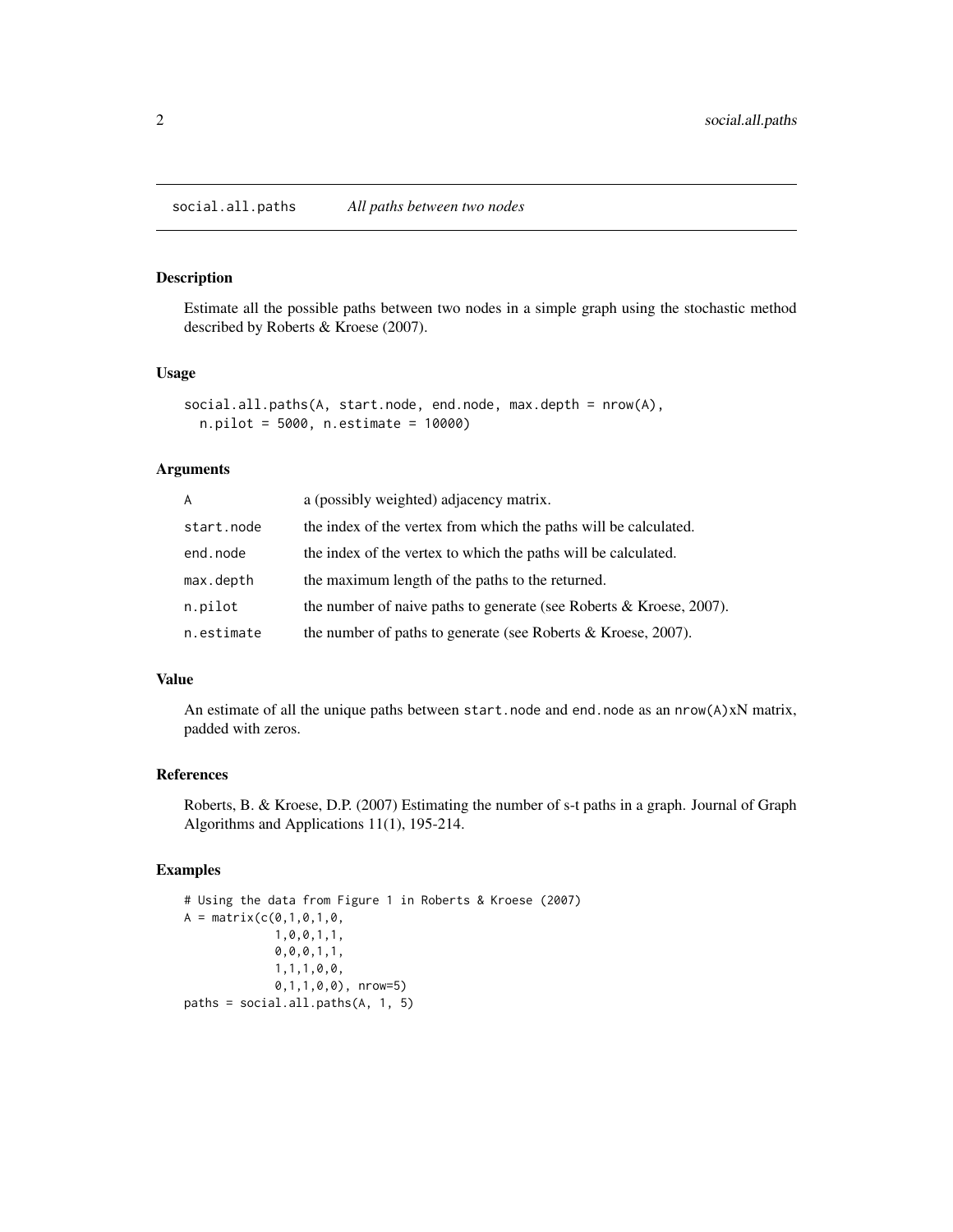#### <span id="page-1-1"></span><span id="page-1-0"></span>Description

Estimate all the possible paths between two nodes in a simple graph using the stochastic method described by Roberts & Kroese (2007).

#### Usage

```
social.all.paths(A, start.node, end.node, max.depth = nrow(A),
 n.pilot = 5000, n.estimate = 10000)
```
#### Arguments

| A          | a (possibly weighted) adjacency matrix.                                |
|------------|------------------------------------------------------------------------|
| start.node | the index of the vertex from which the paths will be calculated.       |
| end.node   | the index of the vertex to which the paths will be calculated.         |
| max.depth  | the maximum length of the paths to the returned.                       |
| n.pilot    | the number of naive paths to generate (see Roberts $\&$ Kroese, 2007). |
| n.estimate | the number of paths to generate (see Roberts & Kroese, 2007).          |

#### Value

An estimate of all the unique paths between start.node and end.node as an nrow(A)xN matrix, padded with zeros.

#### References

Roberts, B. & Kroese, D.P. (2007) Estimating the number of s-t paths in a graph. Journal of Graph Algorithms and Applications 11(1), 195-214.

#### Examples

```
# Using the data from Figure 1 in Roberts & Kroese (2007)
A = matrix(c(0,1,0,1,0,1,0,0,1,1,
             0,0,0,1,1,
             1,1,1,0,0,
             0,1,1,0,0), nrow=5)
paths = social.all.paths(A, 1, 5)
```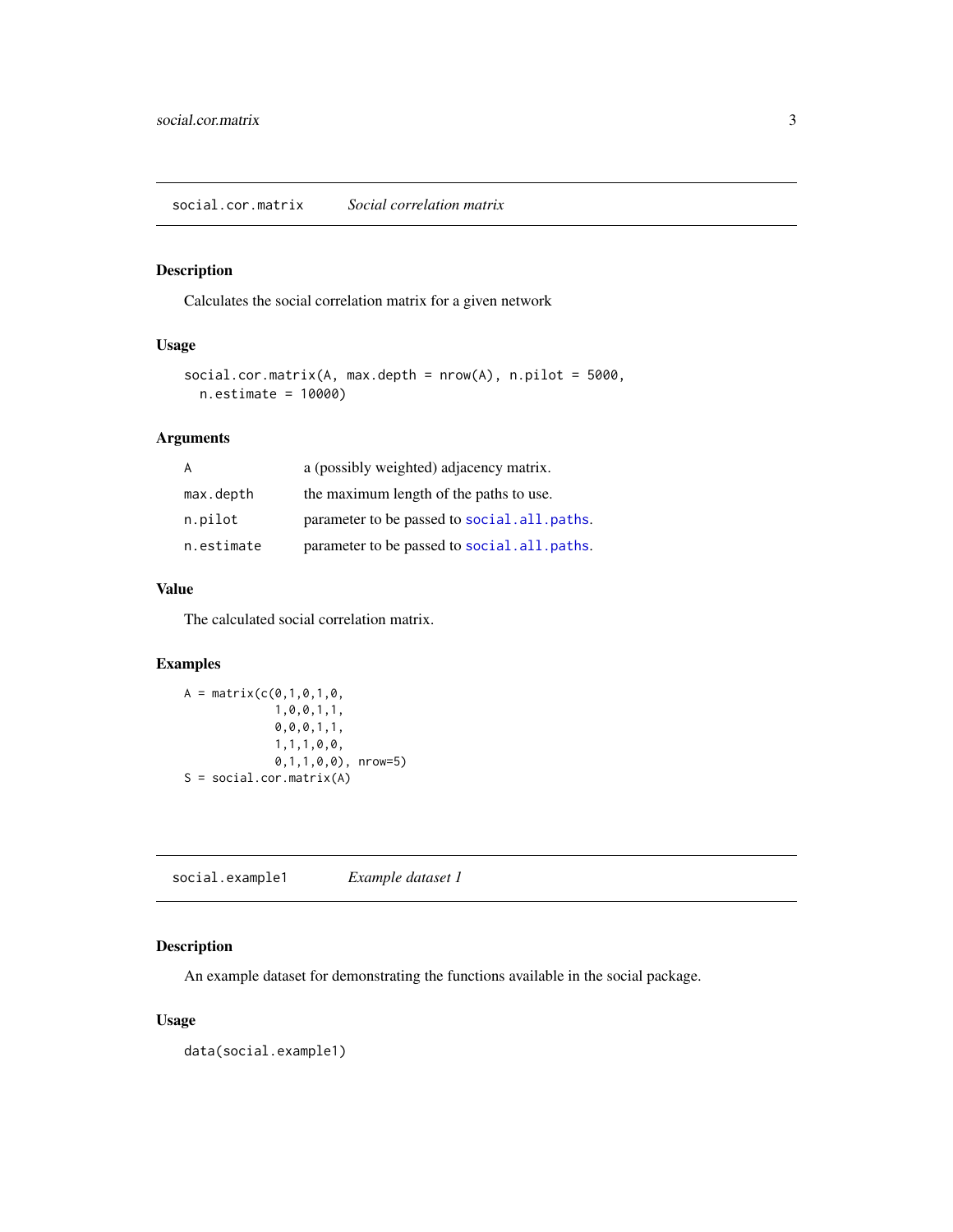#### <span id="page-2-0"></span>Description

Calculates the social correlation matrix for a given network

#### Usage

```
social.cor.matrix(A, max.depth = nrow(A), n.pilot = 5000,
 n.estimate = 10000)
```
#### Arguments

| A          | a (possibly weighted) adjacency matrix.     |
|------------|---------------------------------------------|
| max.depth  | the maximum length of the paths to use.     |
| n.pilot    | parameter to be passed to social.all.paths. |
| n.estimate | parameter to be passed to social.all.paths. |

#### Value

The calculated social correlation matrix.

#### Examples

```
A = matrix(c(0, 1, 0, 1, 0,1,0,0,1,1,
             0,0,0,1,1,
             1,1,1,0,0,
             0,1,1,0,0), nrow=5)
S = social.cor.matrix(A)
```
social.example1 *Example dataset 1*

#### Description

An example dataset for demonstrating the functions available in the social package.

#### Usage

data(social.example1)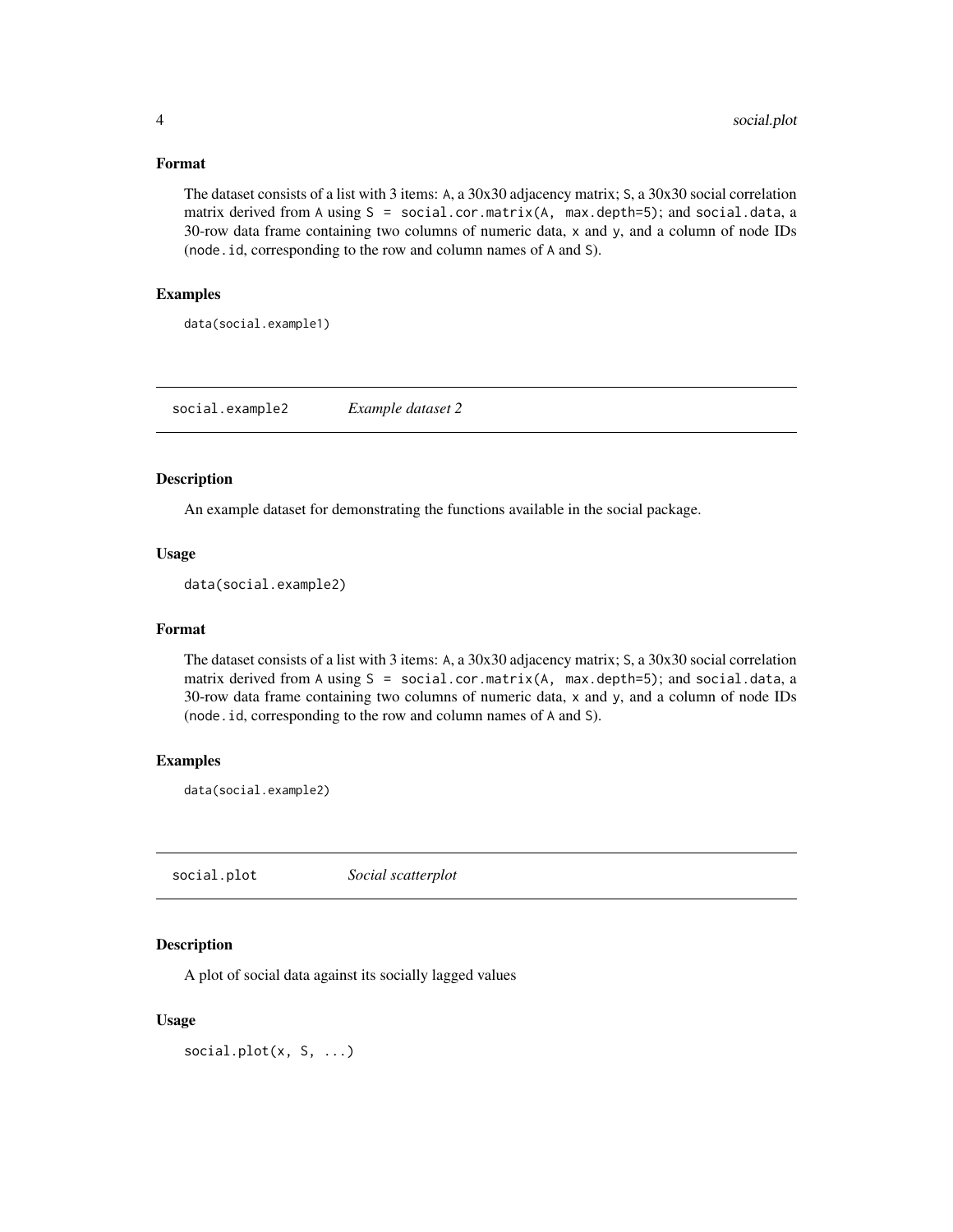#### <span id="page-3-0"></span>Format

The dataset consists of a list with 3 items: A, a 30x30 adjacency matrix; S, a 30x30 social correlation matrix derived from A using  $S = social.cor.matrix(A, max.depth=5);$  and social.data, a 30-row data frame containing two columns of numeric data, x and y, and a column of node IDs (node.id, corresponding to the row and column names of A and S).

#### Examples

data(social.example1)

social.example2 *Example dataset 2*

#### Description

An example dataset for demonstrating the functions available in the social package.

#### Usage

data(social.example2)

#### Format

The dataset consists of a list with 3 items: A, a 30x30 adjacency matrix; S, a 30x30 social correlation matrix derived from A using S = social.cor.matrix(A, max.depth=5); and social.data, a 30-row data frame containing two columns of numeric data, x and y, and a column of node IDs (node.id, corresponding to the row and column names of A and S).

#### Examples

data(social.example2)

social.plot *Social scatterplot*

#### Description

A plot of social data against its socially lagged values

#### Usage

social.plot(x, S, ...)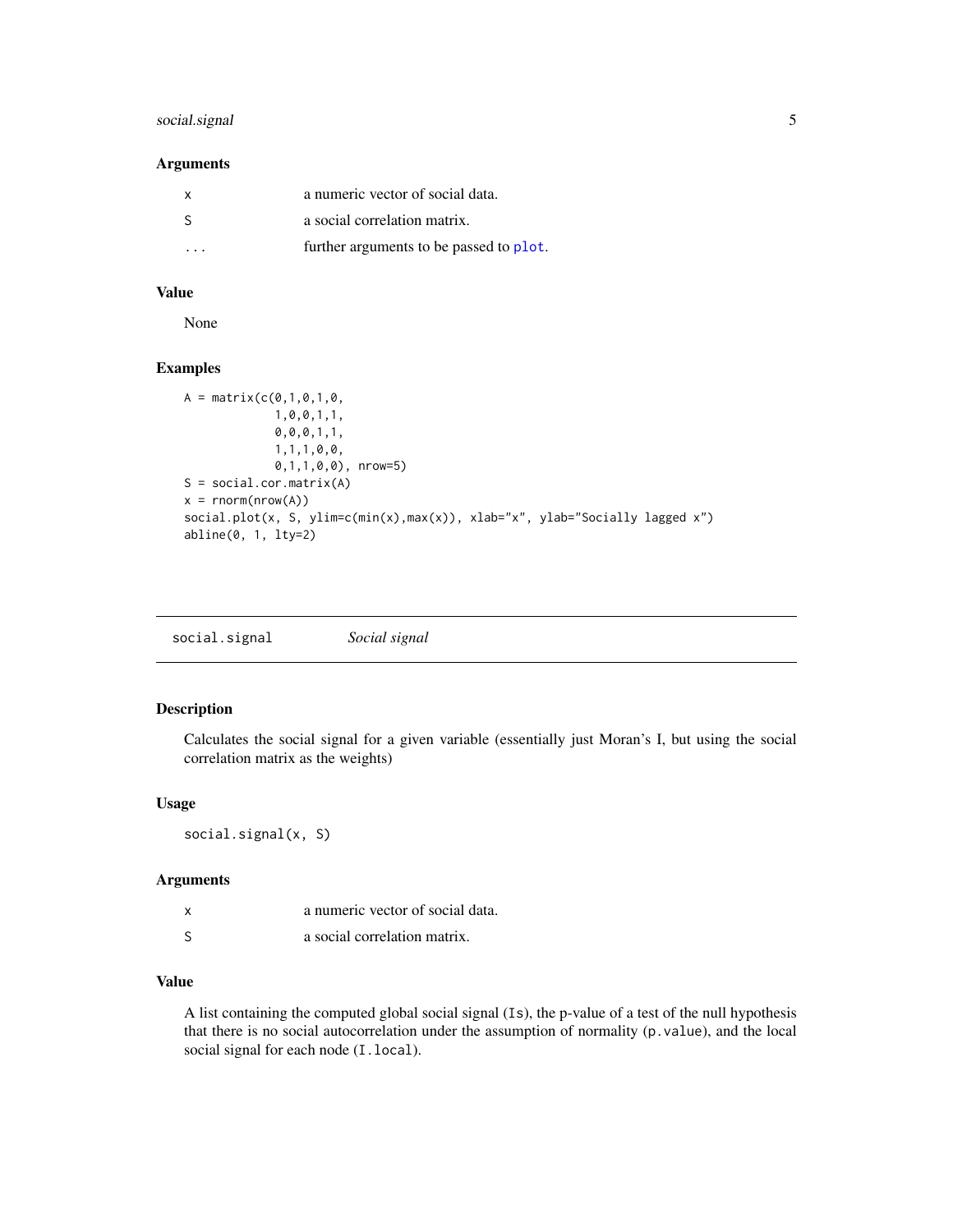#### <span id="page-4-0"></span>social.signal 5

#### Arguments

| X  | a numeric vector of social data.        |
|----|-----------------------------------------|
| -S | a social correlation matrix.            |
| .  | further arguments to be passed to plot. |

#### Value

None

#### Examples

```
A = matrix(c(0, 1, 0, 1, 0,1,0,0,1,1,
              0,0,0,1,1,
              1,1,1,0,0,
              0,1,1,0,0), nrow=5)
S = social.cor.matrix(A)
x = \text{rnorm}(\text{nrow}(A))social.plot(x, S, ylim=c(min(x),max(x)), xlab="x", ylab="Socially lagged x")
abline(0, 1, lty=2)
```

| Social signal<br>social.signal |  |  |  |
|--------------------------------|--|--|--|
|--------------------------------|--|--|--|

#### Description

Calculates the social signal for a given variable (essentially just Moran's I, but using the social correlation matrix as the weights)

#### Usage

social.signal(x, S)

#### Arguments

| x | a numeric vector of social data. |
|---|----------------------------------|
|   | a social correlation matrix.     |

#### Value

A list containing the computed global social signal (Is), the p-value of a test of the null hypothesis that there is no social autocorrelation under the assumption of normality (p.value), and the local social signal for each node (I.local).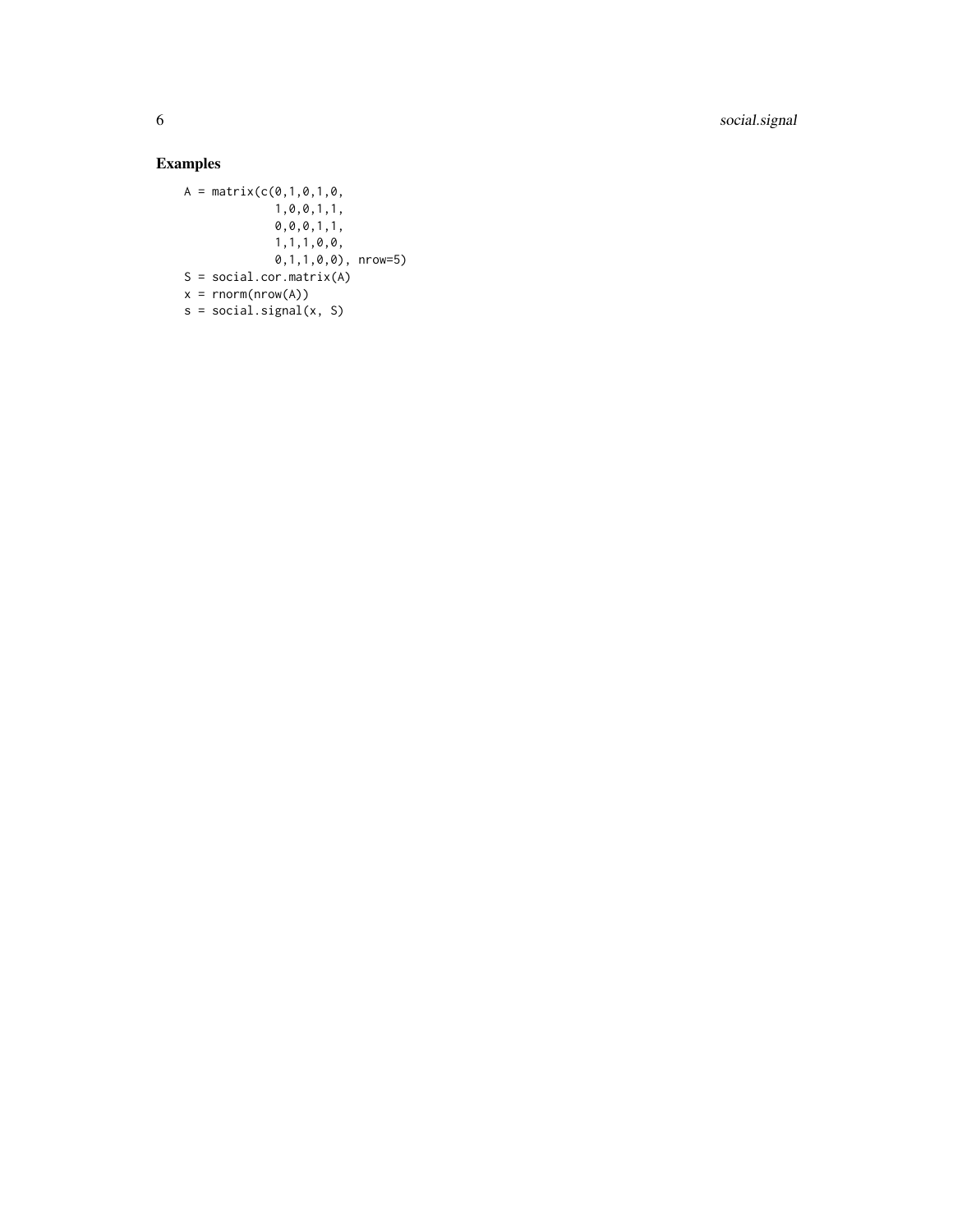6 social.signal

#### Examples

 $A = matrix(c(0,1,0,1,0,1))$ 1,0,0,1,1, 0,0,0,1,1, 1,1,1,0,0, 0,1,1,0,0), nrow=5)  $S = social.cor.matrix(A)$  $x = rnorm(nrow(A))$  $s = social.signal(x, S)$